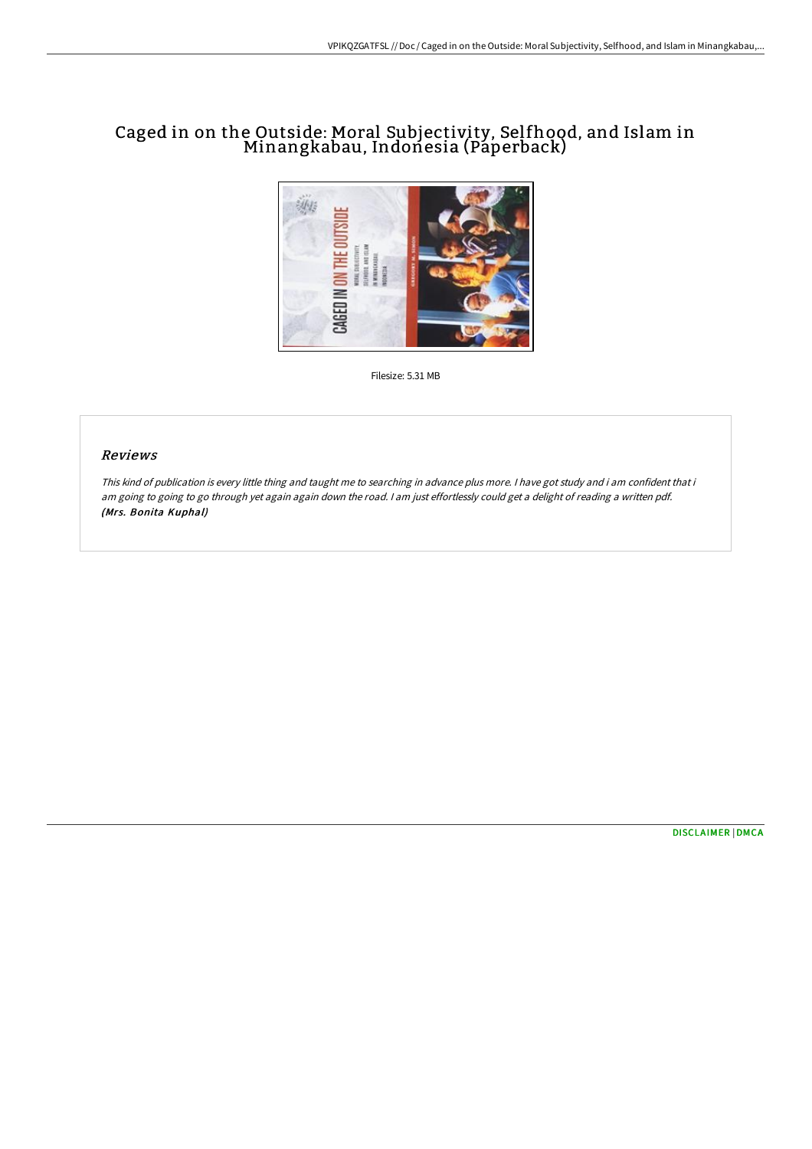# Caged in on the Outside: Moral Subjectivity, Selfhood, and Islam in Minangkabau, Indonesia (Paperback)



Filesize: 5.31 MB

## Reviews

This kind of publication is every little thing and taught me to searching in advance plus more. <sup>I</sup> have got study and i am confident that i am going to going to go through yet again again down the road. <sup>I</sup> am just effortlessly could get <sup>a</sup> delight of reading <sup>a</sup> written pdf. (Mrs. Bonita Kuphal)

[DISCLAIMER](http://techno-pub.tech/disclaimer.html) | [DMCA](http://techno-pub.tech/dmca.html)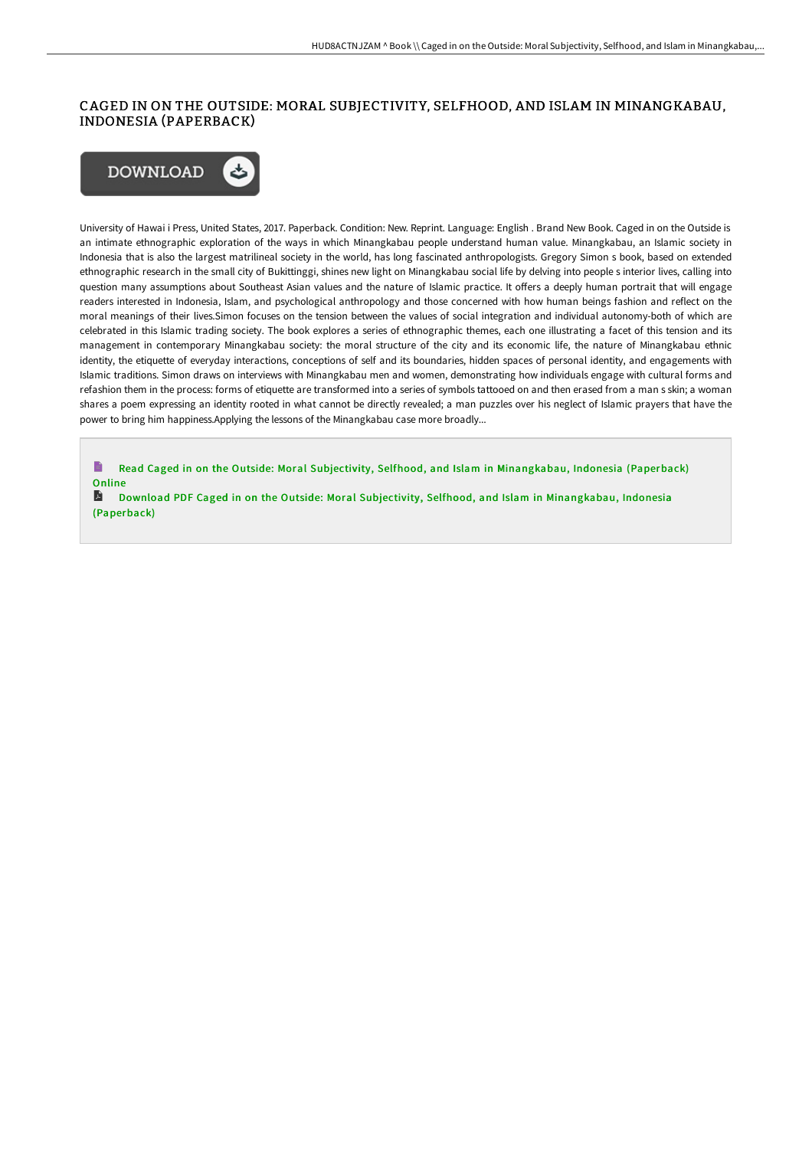# CAGED IN ON THE OUTSIDE: MORAL SUBJECTIVITY, SELFHOOD, AND ISLAM IN MINANGKABAU, INDONESIA (PAPERBACK)



University of Hawai i Press, United States, 2017. Paperback. Condition: New. Reprint. Language: English . Brand New Book. Caged in on the Outside is an intimate ethnographic exploration of the ways in which Minangkabau people understand human value. Minangkabau, an Islamic society in Indonesia that is also the largest matrilineal society in the world, has long fascinated anthropologists. Gregory Simon s book, based on extended ethnographic research in the small city of Bukittinggi, shines new light on Minangkabau social life by delving into people s interior lives, calling into question many assumptions about Southeast Asian values and the nature of Islamic practice. It offers a deeply human portrait that will engage readers interested in Indonesia, Islam, and psychological anthropology and those concerned with how human beings fashion and reflect on the moral meanings of their lives.Simon focuses on the tension between the values of social integration and individual autonomy-both of which are celebrated in this Islamic trading society. The book explores a series of ethnographic themes, each one illustrating a facet of this tension and its management in contemporary Minangkabau society: the moral structure of the city and its economic life, the nature of Minangkabau ethnic identity, the etiquette of everyday interactions, conceptions of self and its boundaries, hidden spaces of personal identity, and engagements with Islamic traditions. Simon draws on interviews with Minangkabau men and women, demonstrating how individuals engage with cultural forms and refashion them in the process: forms of etiquette are transformed into a series of symbols tattooed on and then erased from a man s skin; a woman shares a poem expressing an identity rooted in what cannot be directly revealed; a man puzzles over his neglect of Islamic prayers that have the power to bring him happiness.Applying the lessons of the Minangkabau case more broadly...

E Read Caged in on the Outside: Moral Subjectivity, Selfhood, and Islam in [Minangkabau,](http://techno-pub.tech/caged-in-on-the-outside-moral-subjectivity-selfh.html) Indonesia (Paperback) **Online** 

A Download PDF Caged in on the Outside: Moral Subjectivity, Selfhood, and Islam in [Minangkabau,](http://techno-pub.tech/caged-in-on-the-outside-moral-subjectivity-selfh.html) Indonesia (Paperback)